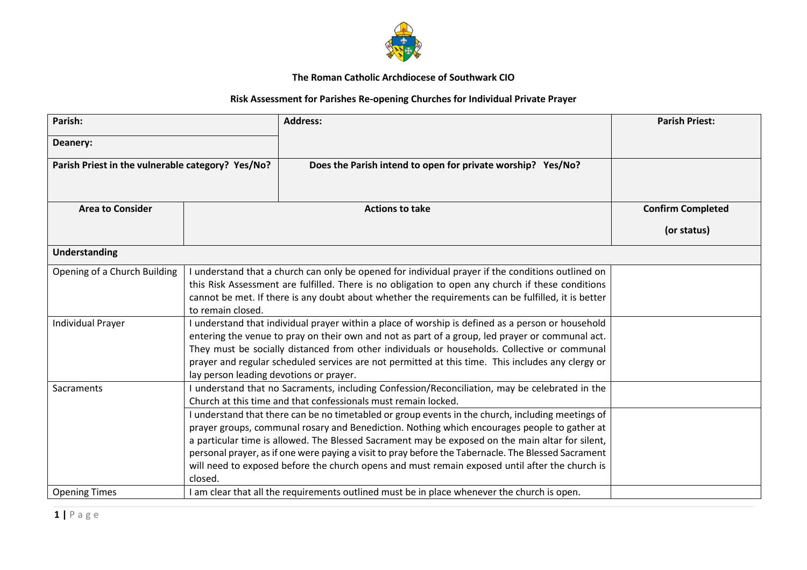

## **The Roman Catholic Archdiocese of Southwark CIO**

## **Risk Assessment for Parishes Re-opening Churches for Individual Private Prayer**

| Parish:                                           |                                                                                                                                                                                                                                                                                                                                                                                                                                                      | <b>Address:</b>                                                                                                                                                                                                                                                                                                                                                                                                                                                                                                | <b>Parish Priest:</b>    |
|---------------------------------------------------|------------------------------------------------------------------------------------------------------------------------------------------------------------------------------------------------------------------------------------------------------------------------------------------------------------------------------------------------------------------------------------------------------------------------------------------------------|----------------------------------------------------------------------------------------------------------------------------------------------------------------------------------------------------------------------------------------------------------------------------------------------------------------------------------------------------------------------------------------------------------------------------------------------------------------------------------------------------------------|--------------------------|
| Deanery:                                          |                                                                                                                                                                                                                                                                                                                                                                                                                                                      |                                                                                                                                                                                                                                                                                                                                                                                                                                                                                                                |                          |
| Parish Priest in the vulnerable category? Yes/No? |                                                                                                                                                                                                                                                                                                                                                                                                                                                      | Does the Parish intend to open for private worship? Yes/No?                                                                                                                                                                                                                                                                                                                                                                                                                                                    |                          |
| <b>Area to Consider</b>                           |                                                                                                                                                                                                                                                                                                                                                                                                                                                      | <b>Actions to take</b>                                                                                                                                                                                                                                                                                                                                                                                                                                                                                         | <b>Confirm Completed</b> |
|                                                   |                                                                                                                                                                                                                                                                                                                                                                                                                                                      |                                                                                                                                                                                                                                                                                                                                                                                                                                                                                                                | (or status)              |
| <b>Understanding</b>                              |                                                                                                                                                                                                                                                                                                                                                                                                                                                      |                                                                                                                                                                                                                                                                                                                                                                                                                                                                                                                |                          |
| Opening of a Church Building                      | I understand that a church can only be opened for individual prayer if the conditions outlined on<br>this Risk Assessment are fulfilled. There is no obligation to open any church if these conditions<br>cannot be met. If there is any doubt about whether the requirements can be fulfilled, it is better<br>to remain closed.                                                                                                                    |                                                                                                                                                                                                                                                                                                                                                                                                                                                                                                                |                          |
| <b>Individual Prayer</b>                          | I understand that individual prayer within a place of worship is defined as a person or household<br>entering the venue to pray on their own and not as part of a group, led prayer or communal act.<br>They must be socially distanced from other individuals or households. Collective or communal<br>prayer and regular scheduled services are not permitted at this time. This includes any clergy or<br>lay person leading devotions or prayer. |                                                                                                                                                                                                                                                                                                                                                                                                                                                                                                                |                          |
| Sacraments                                        | I understand that no Sacraments, including Confession/Reconciliation, may be celebrated in the<br>Church at this time and that confessionals must remain locked.                                                                                                                                                                                                                                                                                     |                                                                                                                                                                                                                                                                                                                                                                                                                                                                                                                |                          |
|                                                   | closed.                                                                                                                                                                                                                                                                                                                                                                                                                                              | I understand that there can be no timetabled or group events in the church, including meetings of<br>prayer groups, communal rosary and Benediction. Nothing which encourages people to gather at<br>a particular time is allowed. The Blessed Sacrament may be exposed on the main altar for silent,<br>personal prayer, as if one were paying a visit to pray before the Tabernacle. The Blessed Sacrament<br>will need to exposed before the church opens and must remain exposed until after the church is |                          |
| <b>Opening Times</b>                              |                                                                                                                                                                                                                                                                                                                                                                                                                                                      | I am clear that all the requirements outlined must be in place whenever the church is open.                                                                                                                                                                                                                                                                                                                                                                                                                    |                          |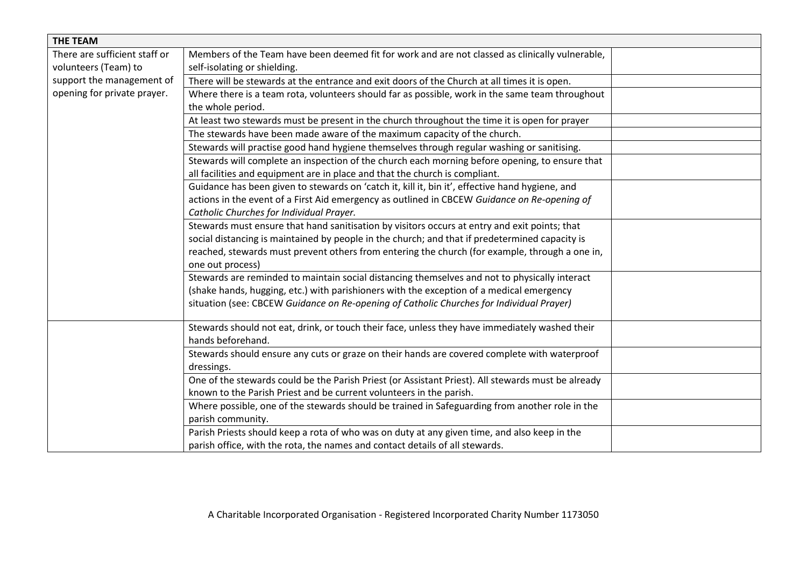| <b>THE TEAM</b>               |                                                                                                    |  |  |  |
|-------------------------------|----------------------------------------------------------------------------------------------------|--|--|--|
| There are sufficient staff or | Members of the Team have been deemed fit for work and are not classed as clinically vulnerable,    |  |  |  |
| volunteers (Team) to          | self-isolating or shielding.                                                                       |  |  |  |
| support the management of     | There will be stewards at the entrance and exit doors of the Church at all times it is open.       |  |  |  |
| opening for private prayer.   | Where there is a team rota, volunteers should far as possible, work in the same team throughout    |  |  |  |
|                               | the whole period.                                                                                  |  |  |  |
|                               | At least two stewards must be present in the church throughout the time it is open for prayer      |  |  |  |
|                               | The stewards have been made aware of the maximum capacity of the church.                           |  |  |  |
|                               | Stewards will practise good hand hygiene themselves through regular washing or sanitising.         |  |  |  |
|                               | Stewards will complete an inspection of the church each morning before opening, to ensure that     |  |  |  |
|                               | all facilities and equipment are in place and that the church is compliant.                        |  |  |  |
|                               | Guidance has been given to stewards on 'catch it, kill it, bin it', effective hand hygiene, and    |  |  |  |
|                               | actions in the event of a First Aid emergency as outlined in CBCEW Guidance on Re-opening of       |  |  |  |
|                               | Catholic Churches for Individual Prayer.                                                           |  |  |  |
|                               | Stewards must ensure that hand sanitisation by visitors occurs at entry and exit points; that      |  |  |  |
|                               | social distancing is maintained by people in the church; and that if predetermined capacity is     |  |  |  |
|                               | reached, stewards must prevent others from entering the church (for example, through a one in,     |  |  |  |
|                               | one out process)                                                                                   |  |  |  |
|                               | Stewards are reminded to maintain social distancing themselves and not to physically interact      |  |  |  |
|                               | (shake hands, hugging, etc.) with parishioners with the exception of a medical emergency           |  |  |  |
|                               | situation (see: CBCEW Guidance on Re-opening of Catholic Churches for Individual Prayer)           |  |  |  |
|                               |                                                                                                    |  |  |  |
|                               | Stewards should not eat, drink, or touch their face, unless they have immediately washed their     |  |  |  |
|                               | hands beforehand.                                                                                  |  |  |  |
|                               | Stewards should ensure any cuts or graze on their hands are covered complete with waterproof       |  |  |  |
|                               | dressings.                                                                                         |  |  |  |
|                               | One of the stewards could be the Parish Priest (or Assistant Priest). All stewards must be already |  |  |  |
|                               | known to the Parish Priest and be current volunteers in the parish.                                |  |  |  |
|                               | Where possible, one of the stewards should be trained in Safeguarding from another role in the     |  |  |  |
|                               | parish community.                                                                                  |  |  |  |
|                               | Parish Priests should keep a rota of who was on duty at any given time, and also keep in the       |  |  |  |
|                               | parish office, with the rota, the names and contact details of all stewards.                       |  |  |  |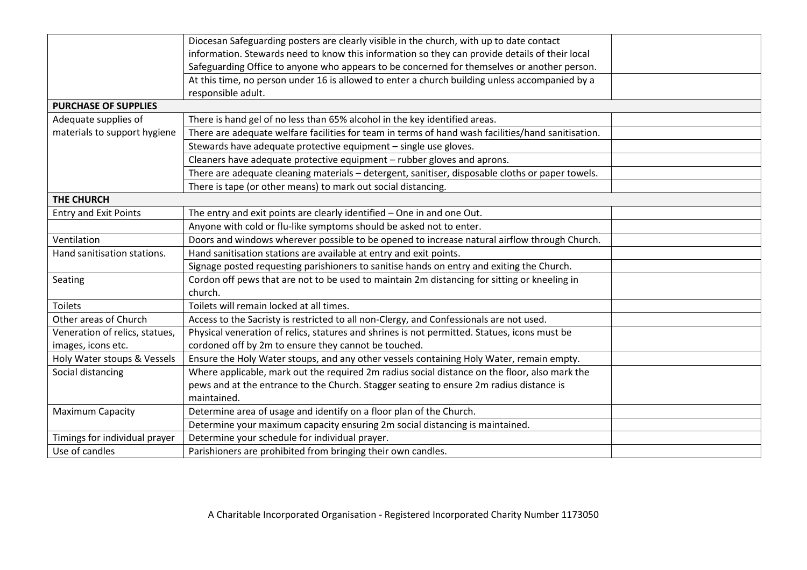|                                | Diocesan Safeguarding posters are clearly visible in the church, with up to date contact           |  |  |  |  |
|--------------------------------|----------------------------------------------------------------------------------------------------|--|--|--|--|
|                                | information. Stewards need to know this information so they can provide details of their local     |  |  |  |  |
|                                | Safeguarding Office to anyone who appears to be concerned for themselves or another person.        |  |  |  |  |
|                                | At this time, no person under 16 is allowed to enter a church building unless accompanied by a     |  |  |  |  |
|                                | responsible adult.                                                                                 |  |  |  |  |
| <b>PURCHASE OF SUPPLIES</b>    |                                                                                                    |  |  |  |  |
| Adequate supplies of           | There is hand gel of no less than 65% alcohol in the key identified areas.                         |  |  |  |  |
| materials to support hygiene   | There are adequate welfare facilities for team in terms of hand wash facilities/hand sanitisation. |  |  |  |  |
|                                | Stewards have adequate protective equipment - single use gloves.                                   |  |  |  |  |
|                                | Cleaners have adequate protective equipment - rubber gloves and aprons.                            |  |  |  |  |
|                                | There are adequate cleaning materials - detergent, sanitiser, disposable cloths or paper towels.   |  |  |  |  |
|                                | There is tape (or other means) to mark out social distancing.                                      |  |  |  |  |
| <b>THE CHURCH</b>              |                                                                                                    |  |  |  |  |
| <b>Entry and Exit Points</b>   | The entry and exit points are clearly identified - One in and one Out.                             |  |  |  |  |
|                                | Anyone with cold or flu-like symptoms should be asked not to enter.                                |  |  |  |  |
| Ventilation                    | Doors and windows wherever possible to be opened to increase natural airflow through Church.       |  |  |  |  |
| Hand sanitisation stations.    | Hand sanitisation stations are available at entry and exit points.                                 |  |  |  |  |
|                                | Signage posted requesting parishioners to sanitise hands on entry and exiting the Church.          |  |  |  |  |
| Seating                        | Cordon off pews that are not to be used to maintain 2m distancing for sitting or kneeling in       |  |  |  |  |
|                                | church.                                                                                            |  |  |  |  |
| <b>Toilets</b>                 | Toilets will remain locked at all times.                                                           |  |  |  |  |
| Other areas of Church          | Access to the Sacristy is restricted to all non-Clergy, and Confessionals are not used.            |  |  |  |  |
| Veneration of relics, statues, | Physical veneration of relics, statures and shrines is not permitted. Statues, icons must be       |  |  |  |  |
| images, icons etc.             | cordoned off by 2m to ensure they cannot be touched.                                               |  |  |  |  |
| Holy Water stoups & Vessels    | Ensure the Holy Water stoups, and any other vessels containing Holy Water, remain empty.           |  |  |  |  |
| Social distancing              | Where applicable, mark out the required 2m radius social distance on the floor, also mark the      |  |  |  |  |
|                                | pews and at the entrance to the Church. Stagger seating to ensure 2m radius distance is            |  |  |  |  |
|                                | maintained.                                                                                        |  |  |  |  |
| <b>Maximum Capacity</b>        | Determine area of usage and identify on a floor plan of the Church.                                |  |  |  |  |
|                                | Determine your maximum capacity ensuring 2m social distancing is maintained.                       |  |  |  |  |
| Timings for individual prayer  | Determine your schedule for individual prayer.                                                     |  |  |  |  |
| Use of candles                 | Parishioners are prohibited from bringing their own candles.                                       |  |  |  |  |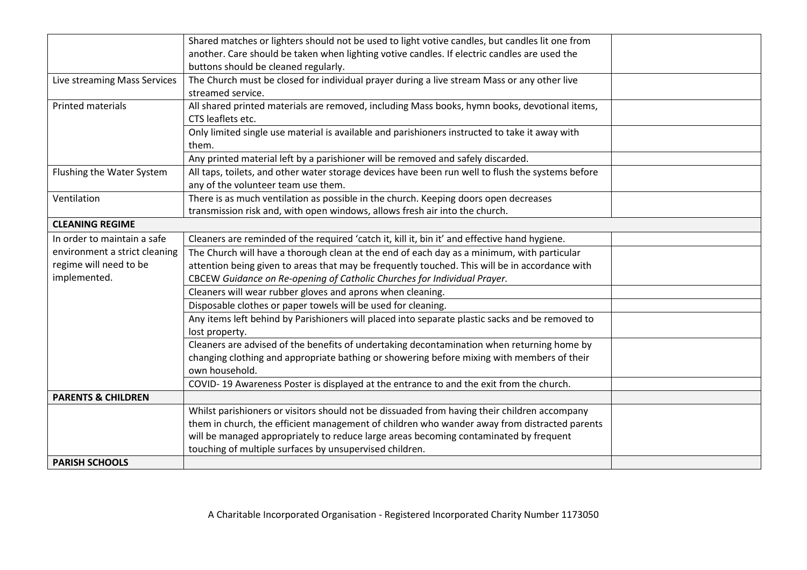|                               | Shared matches or lighters should not be used to light votive candles, but candles lit one from<br>another. Care should be taken when lighting votive candles. If electric candles are used the<br>buttons should be cleaned regularly. |  |
|-------------------------------|-----------------------------------------------------------------------------------------------------------------------------------------------------------------------------------------------------------------------------------------|--|
| Live streaming Mass Services  | The Church must be closed for individual prayer during a live stream Mass or any other live<br>streamed service.                                                                                                                        |  |
| <b>Printed materials</b>      | All shared printed materials are removed, including Mass books, hymn books, devotional items,<br>CTS leaflets etc.                                                                                                                      |  |
|                               | Only limited single use material is available and parishioners instructed to take it away with<br>them.                                                                                                                                 |  |
|                               | Any printed material left by a parishioner will be removed and safely discarded.                                                                                                                                                        |  |
| Flushing the Water System     | All taps, toilets, and other water storage devices have been run well to flush the systems before<br>any of the volunteer team use them.                                                                                                |  |
| Ventilation                   | There is as much ventilation as possible in the church. Keeping doors open decreases<br>transmission risk and, with open windows, allows fresh air into the church.                                                                     |  |
| <b>CLEANING REGIME</b>        |                                                                                                                                                                                                                                         |  |
| In order to maintain a safe   | Cleaners are reminded of the required 'catch it, kill it, bin it' and effective hand hygiene.                                                                                                                                           |  |
| environment a strict cleaning | The Church will have a thorough clean at the end of each day as a minimum, with particular                                                                                                                                              |  |
| regime will need to be        | attention being given to areas that may be frequently touched. This will be in accordance with                                                                                                                                          |  |
| implemented.                  | CBCEW Guidance on Re-opening of Catholic Churches for Individual Prayer.                                                                                                                                                                |  |
|                               | Cleaners will wear rubber gloves and aprons when cleaning.                                                                                                                                                                              |  |
|                               | Disposable clothes or paper towels will be used for cleaning.                                                                                                                                                                           |  |
|                               | Any items left behind by Parishioners will placed into separate plastic sacks and be removed to                                                                                                                                         |  |
|                               | lost property.                                                                                                                                                                                                                          |  |
|                               | Cleaners are advised of the benefits of undertaking decontamination when returning home by                                                                                                                                              |  |
|                               | changing clothing and appropriate bathing or showering before mixing with members of their<br>own household.                                                                                                                            |  |
|                               | COVID-19 Awareness Poster is displayed at the entrance to and the exit from the church.                                                                                                                                                 |  |
| <b>PARENTS &amp; CHILDREN</b> |                                                                                                                                                                                                                                         |  |
|                               | Whilst parishioners or visitors should not be dissuaded from having their children accompany                                                                                                                                            |  |
|                               | them in church, the efficient management of children who wander away from distracted parents                                                                                                                                            |  |
|                               | will be managed appropriately to reduce large areas becoming contaminated by frequent                                                                                                                                                   |  |
|                               | touching of multiple surfaces by unsupervised children.                                                                                                                                                                                 |  |
| <b>PARISH SCHOOLS</b>         |                                                                                                                                                                                                                                         |  |